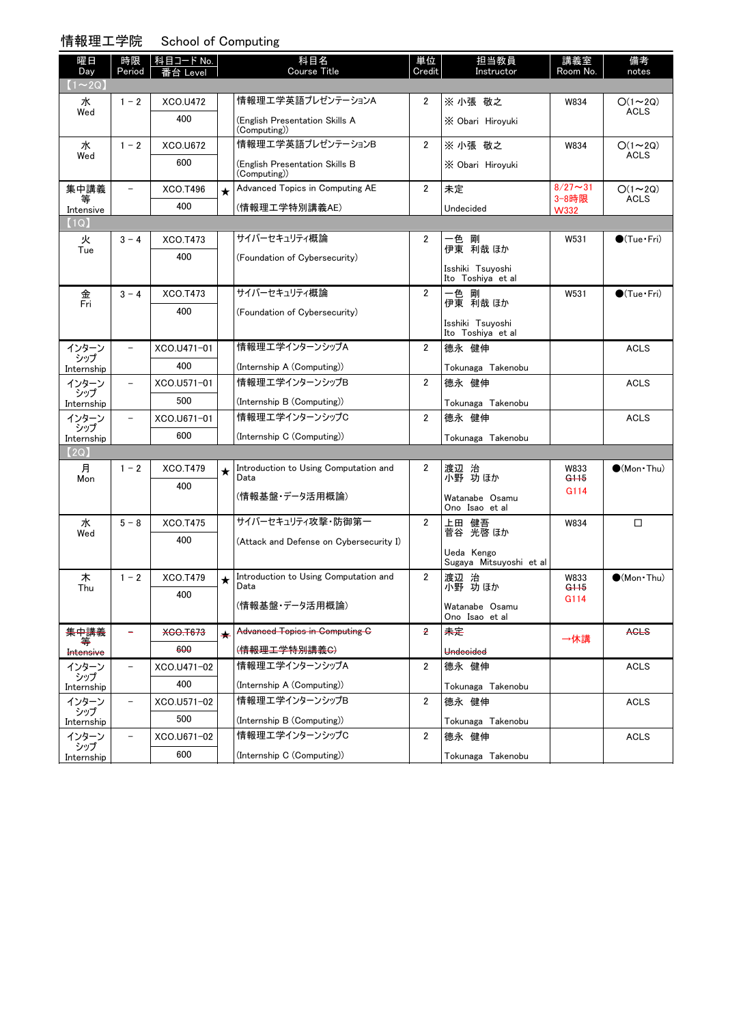### 情報理工学院 School of Computing

| 1月刊生工士所           |                          | <b>OCHOOL OF COMPUTIES</b> |         |                                                |                |                                       |                      |                        |
|-------------------|--------------------------|----------------------------|---------|------------------------------------------------|----------------|---------------------------------------|----------------------|------------------------|
| 曜日                | 時限                       | │科目コード No.                 |         | 科目名                                            | 単位             | 担当教員                                  | 講義室                  | 備考                     |
| Day               | Period                   | 番台 Level                   |         | Course Title                                   | Credit         | Instructor                            | Room No.             | notes                  |
| $(1\sim 2Q)$      |                          |                            |         |                                                |                |                                       |                      |                        |
| 水<br>Wed          | $1 - 2$                  | XCO.U472                   |         | 情報理工学英語プレゼンテーションA                              | $\overline{2}$ | ※ 小張 敬之                               | W834                 | $O(1 - 2Q)$<br>ACLS    |
|                   |                          | 400                        |         | (English Presentation Skills A<br>(Computing)) |                | X Obari Hiroyuki                      |                      |                        |
| 水                 | $1 - 2$                  | <b>XCO.U672</b>            |         | 情報理工学英語プレゼンテーションB                              | $\overline{2}$ | ※ 小張 敬之                               | W834                 | $O(1 - 2Q)$            |
| Wed               |                          | 600                        |         | (English Presentation Skills B<br>(Computing)) |                | X Obari Hiroyuki                      |                      | <b>ACLS</b>            |
| 集中講義              | $\overline{\phantom{0}}$ | XCO.T496                   | $\star$ | Advanced Topics in Computing AE                | $\overline{2}$ | 未定                                    | $8/27 - 31$          | $O(1 \sim 2Q)$         |
| Intensive         |                          | 400                        |         | (情報理工学特別講義AE)                                  |                | Undecided                             | 3-8時限<br><b>W332</b> | <b>ACLS</b>            |
| (1Q)              |                          |                            |         |                                                |                |                                       |                      |                        |
| 火                 | $3 - 4$                  | XCO.T473                   |         | サイバーセキュリティ概論                                   | $\overline{2}$ | 剛<br>一色                               | W531                 | $\bullet$ (Tue•Fri)    |
| Tue               |                          | 400                        |         | (Foundation of Cybersecurity)                  |                | 伊東 利哉 ほか                              |                      |                        |
|                   |                          |                            |         |                                                |                | Isshiki Tsuyoshi<br>Ito Toshiya et al |                      |                        |
| 金<br>Fri          | $3 - 4$                  | XCO.T473                   |         | サイバーセキュリティ概論                                   | $\overline{2}$ | 一色 剛                                  | W531                 | $\bigcirc$ (Tue · Fri) |
|                   |                          | 400                        |         | (Foundation of Cybersecurity)                  |                | 伊東 利哉 ほか                              |                      |                        |
|                   |                          |                            |         |                                                |                | Isshiki Tsuvoshi<br>Ito Toshiya et al |                      |                        |
| インターン             |                          | XCO.U471-01                |         | 情報理エ学インターンシップA                                 | $\overline{2}$ | 德永 健伸                                 |                      | <b>ACLS</b>            |
| シップ<br>Internship |                          | 400                        |         | (Internship A (Computing))                     |                | Tokunaga Takenobu                     |                      |                        |
| インターン             | $\overline{\phantom{a}}$ | XCO.U571-01                |         | 情報理エ学インターンシップB                                 | $\overline{2}$ | 德永 健伸                                 |                      | <b>ACLS</b>            |
| シップ<br>Internship |                          | 500                        |         | (Internship B (Computing))                     |                | Tokunaga Takenobu                     |                      |                        |
| インターン             | $\overline{\phantom{0}}$ | XCO.U671-01                |         | 情報理エ学インターンシップC                                 | 2              | 德永 健伸                                 |                      | <b>ACLS</b>            |
| シップ<br>Internship |                          | 600                        |         | (Internship C (Computing))                     |                | Tokunaga Takenobu                     |                      |                        |
| (2Q)              |                          |                            |         |                                                |                |                                       |                      |                        |
| 月                 | $1 - 2$                  | XCO.T479                   | ★       | Introduction to Using Computation and          | 2              | 渡辺 治                                  | W833                 | $\bullet$ (Mon Thu)    |
| Mon               |                          | 400                        |         | Data                                           |                | 小野 功 ほか                               | G <sub>115</sub>     |                        |
|                   |                          |                            |         | (情報基盤・データ活用概論)                                 |                | Watanabe Osamu                        | G114                 |                        |
|                   |                          |                            |         | サイバーセキュリティ攻撃・防御第一                              |                | Ono Isao et al                        |                      |                        |
| 水<br>Wed          | $5 - 8$                  | XCO.T475                   |         |                                                | 2              | 上田 健吾<br>菅谷 光啓 ほか                     | W834                 | □                      |
|                   |                          | 400                        |         | (Attack and Defense on Cybersecurity I)        |                | Ueda Kengo                            |                      |                        |
|                   |                          |                            |         |                                                |                | Sugaya Mitsuyoshi et al               |                      |                        |
| 木                 | $1 - 2$                  | XCO.T479                   | $\star$ | Introduction to Using Computation and<br>Data  | 2              | 渡辺 治                                  | W833                 | $(Mon\cdot Thu)$       |
| Thu               |                          | 400                        |         |                                                |                | 小野 功 ほか                               | G115<br>G114         |                        |
|                   |                          |                            |         | (情報基盤・データ活用概論)                                 |                | Watanabe Osamu<br>Ono Isao et al      |                      |                        |
| 集中講義              |                          | <b>XCO.T673</b>            | $\star$ | <b>Advanced Topics in Computing C</b>          | $\overline{z}$ | 未定                                    | →休講                  | <b>AGLS</b>            |
| Intensive         |                          | 600                        |         | ( <del>情報理工学特別講義C)</del>                       |                | Undecided                             |                      |                        |
| インターン             | $\qquad \qquad -$        | XCO.U471-02                |         | 情報理工学インターンシップA                                 | $\overline{2}$ | 德永 健伸                                 |                      | <b>ACLS</b>            |
| シップ<br>Internship |                          | 400                        |         | (Internship A (Computing))                     |                | Tokunaga Takenobu                     |                      |                        |
| インターン             | $\qquad \qquad -$        | XCO.U571-02                |         | 情報理エ学インターンシップB                                 | $\overline{2}$ | 德永 健伸                                 |                      | <b>ACLS</b>            |
| シップ<br>Internship |                          | 500                        |         | (Internship B (Computing))                     |                | Tokunaga Takenobu                     |                      |                        |
| インターン             |                          | XCO.U671-02                |         | 情報理エ学インターンシップC                                 | $\overline{2}$ | 德永 健伸                                 |                      | <b>ACLS</b>            |
| シップ<br>Internship |                          | 600                        |         | (Internship C (Computing))                     |                | Tokunaga Takenobu                     |                      |                        |
|                   |                          |                            |         |                                                |                |                                       |                      |                        |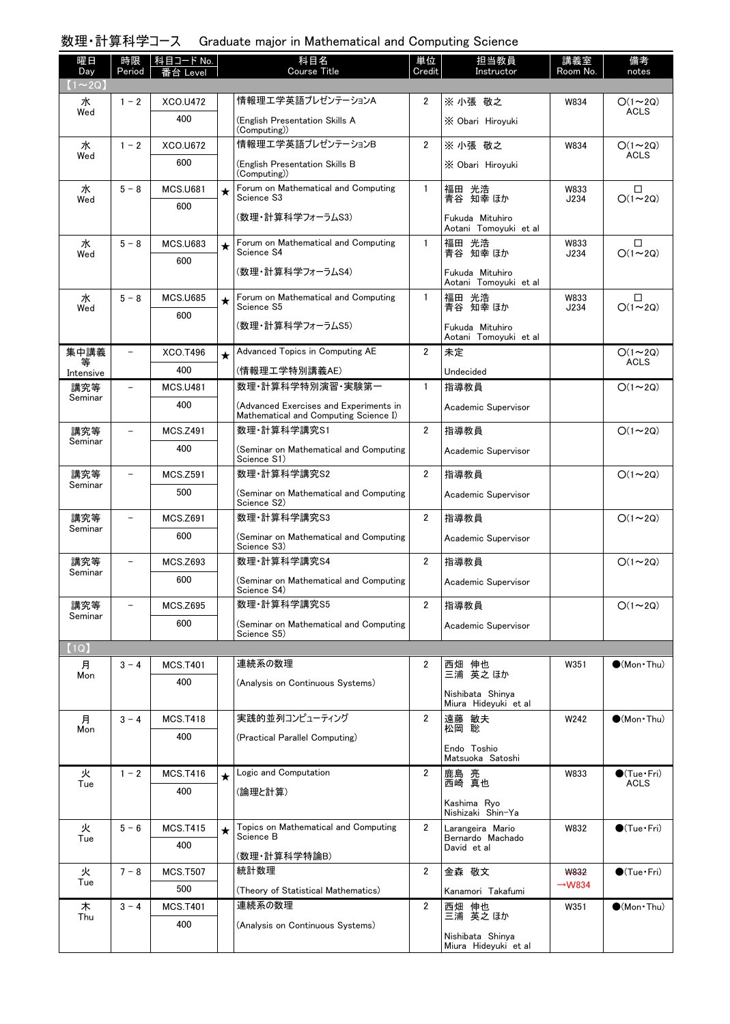# 数理・計算科学コース Graduate major in Mathematical and Computing Science

| 曜日                 | 時限                       | 科目コード No.              |         | 科目名<br>Course Title                                                             | 単位             | 担当教員                                     | 講義室                | 備考                          |
|--------------------|--------------------------|------------------------|---------|---------------------------------------------------------------------------------|----------------|------------------------------------------|--------------------|-----------------------------|
| Day<br>$(1\sim2Q)$ | Period                   | 台 Level                |         |                                                                                 | Credit         | Instructor                               | Room No.           | notes                       |
| 水                  | $1 - 2$                  | <b>XCO.U472</b>        |         | 情報理工学英語プレゼンテーションA                                                               | $\overline{2}$ | ※ 小張 敬之                                  | W834               | $O(1\sim 2Q)$               |
| Wed                |                          | 400                    |         | (English Presentation Skills A<br>(Computing))                                  |                | X Obari Hiroyuki                         |                    | <b>ACLS</b>                 |
| 水                  | $1 - 2$                  | <b>XCO.U672</b>        |         | 情報理工学英語プレゼンテーションB                                                               | $\overline{2}$ | ※ 小張 敬之                                  | W834               | $O(1\sim 2Q)$               |
| Wed                |                          | 600                    |         | (English Presentation Skills B<br>(Computing))                                  |                | X Obari Hiroyuki                         |                    | <b>ACLS</b>                 |
| 水<br>Wed           | $5 - 8$                  | <b>MCS.U681</b><br>600 | $\star$ | Forum on Mathematical and Computing<br>Science S3                               | $\mathbf{1}$   | 福田 光浩<br>青谷 知幸 ほか                        | W833<br>J234       | □<br>$O(1\sim 2Q)$          |
|                    |                          |                        |         | (数理・計算科学フォーラムS3)                                                                |                | Fukuda Mituhiro<br>Aotani Tomoyuki et al |                    |                             |
| 水<br>Wed           | $5 - 8$                  | <b>MCS.U683</b><br>600 | $\star$ | Forum on Mathematical and Computing<br>Science S4                               | $\mathbf{1}$   | 福田 光浩<br>青谷 知幸 ほか                        | W833<br>J234       | □<br>$O(1\sim 2Q)$          |
|                    |                          |                        |         | (数理・計算科学フォーラムS4)                                                                |                | Fukuda Mituhiro<br>Aotani Tomoyuki et al |                    |                             |
| 水<br>Wed           | $5 - 8$                  | <b>MCS.U685</b>        | $\star$ | Forum on Mathematical and Computing<br>Science S5                               | $\mathbf{1}$   | 福田 光浩<br>青谷 知幸 ほか                        | W833<br>J234       | □<br>$O(1\sim 2Q)$          |
|                    |                          | 600                    |         | (数理・計算科学フォーラムS5)                                                                |                | Fukuda Mituhiro<br>Aotani Tomovuki et al |                    |                             |
| 集中講義               | $\qquad \qquad -$        | XCO.T496               | $\star$ | Advanced Topics in Computing AE                                                 | $\overline{2}$ | 未定                                       |                    | $O(1\sim 2Q)$               |
| 等<br>Intensive     |                          | 400                    |         | (情報理工学特別講義AE)                                                                   |                | Undecided                                |                    | <b>ACLS</b>                 |
| 講究等                |                          | <b>MCS.U481</b>        |         | 数理·計算科学特別演習·実験第一                                                                | $\mathbf{1}$   | 指導教員                                     |                    | $O(1\sim 2Q)$               |
| Seminar            |                          | 400                    |         | (Advanced Exercises and Experiments in<br>Mathematical and Computing Science I) |                | Academic Supervisor                      |                    |                             |
| 講究等<br>Seminar     |                          | <b>MCS.Z491</b>        |         | 数理·計算科学講究S1                                                                     | $\overline{2}$ | 指導教員                                     |                    | $O(1\sim 2Q)$               |
|                    |                          | 400                    |         | (Seminar on Mathematical and Computing<br>Science S1)                           |                | Academic Supervisor                      |                    |                             |
| 講究等<br>Seminar     | $\overline{\phantom{0}}$ | <b>MCS.Z591</b>        |         | 数理·計算科学講究S2                                                                     | $\overline{2}$ | 指導教員                                     |                    | $O(1\sim 2Q)$               |
|                    |                          | 500                    |         | (Seminar on Mathematical and Computing<br>Science S2)                           |                | Academic Supervisor                      |                    |                             |
| 講究等<br>Seminar     | $\equiv$                 | <b>MCS.Z691</b>        |         | 数理·計算科学講究S3                                                                     | $\overline{2}$ | 指導教員                                     |                    | $O(1\sim 2Q)$               |
|                    |                          | 600                    |         | (Seminar on Mathematical and Computing<br>Science S3)                           |                | Academic Supervisor                      |                    |                             |
| 講究等<br>Seminar     |                          | <b>MCS.Z693</b>        |         | 数理·計算科学講究S4                                                                     | $\overline{2}$ | 指導教員                                     |                    | $O(1\sim 2Q)$               |
|                    |                          | 600                    |         | (Seminar on Mathematical and Computing<br>Science S4)                           |                | Academic Supervisor                      |                    |                             |
| 講究等<br>Seminar     |                          | <b>MCS.Z695</b>        |         | 数理·計算科学講究S5                                                                     | $\overline{2}$ | 指導教員                                     |                    | $O(1\sim 2Q)$               |
|                    |                          | 600                    |         | (Seminar on Mathematical and Computing<br>Science S5)                           |                | Academic Supervisor                      |                    |                             |
| (1Q)               |                          |                        |         |                                                                                 |                |                                          |                    |                             |
| 月                  | $3 - 4$                  | <b>MCS.T401</b>        |         | 連続系の数理                                                                          | $\overline{2}$ | 西畑 伸也<br>三浦 英之ほか                         | W351               | $\bullet$ (Mon Thu)         |
| Mon                |                          | 400                    |         | (Analysis on Continuous Systems)                                                |                | Nishibata Shinya                         |                    |                             |
|                    |                          |                        |         |                                                                                 |                | Miura Hideyuki et al                     |                    |                             |
| 月<br>Mon           | $3 - 4$                  | <b>MCS.T418</b>        |         | 実践的並列コンピューティング                                                                  | $\overline{2}$ | 遠藤 敏夫<br>松岡 聡                            | W242               | $\bullet$ (Mon Thu)         |
|                    |                          | 400                    |         | (Practical Parallel Computing)                                                  |                | Endo Toshio<br>Matsuoka Satoshi          |                    |                             |
| 火                  | $1 - 2$                  | <b>MCS.T416</b>        | $\star$ | Logic and Computation                                                           | $\overline{2}$ | 鹿島 亮<br>西崎 真也                            | W833               | $\bullet$ (Tue $\cdot$ Fri) |
| Tue                |                          | 400                    |         | (論理と計算)                                                                         |                | Kashima Ryo                              |                    | <b>ACLS</b>                 |
| 火                  | $5 - 6$                  | <b>MCS.T415</b>        | $\star$ | Topics on Mathematical and Computing                                            | $\overline{2}$ | Nishizaki Shin-Ya<br>Larangeira Mario    | W832               | $\bigcirc$ (Tue · Fri)      |
| Tue                |                          | 400                    |         | Science B<br>(数理·計算科学特論B)                                                       |                | Bernardo Machado<br>David et al          |                    |                             |
| 火                  | $7 - 8$                  | <b>MCS.T507</b>        |         | 統計数理                                                                            | $\overline{2}$ | 金森 敬文                                    | <b>W832</b>        | $\bigcirc$ (Tue · Fri)      |
| Tue                |                          | 500                    |         | (Theory of Statistical Mathematics)                                             |                | Kanamori Takafumi                        | $\rightarrow$ W834 |                             |
| 木                  | $3 - 4$                  | <b>MCS.T401</b>        |         | 連続系の数理                                                                          | $\overline{2}$ | 西畑 伸也                                    | W351               | $\bullet$ (Mon Thu)         |
| Thu                |                          | 400                    |         | (Analysis on Continuous Systems)                                                |                | 三浦 英之 ほか<br>Nishibata Shinya             |                    |                             |
|                    |                          |                        |         |                                                                                 |                | Miura Hideyuki et al                     |                    |                             |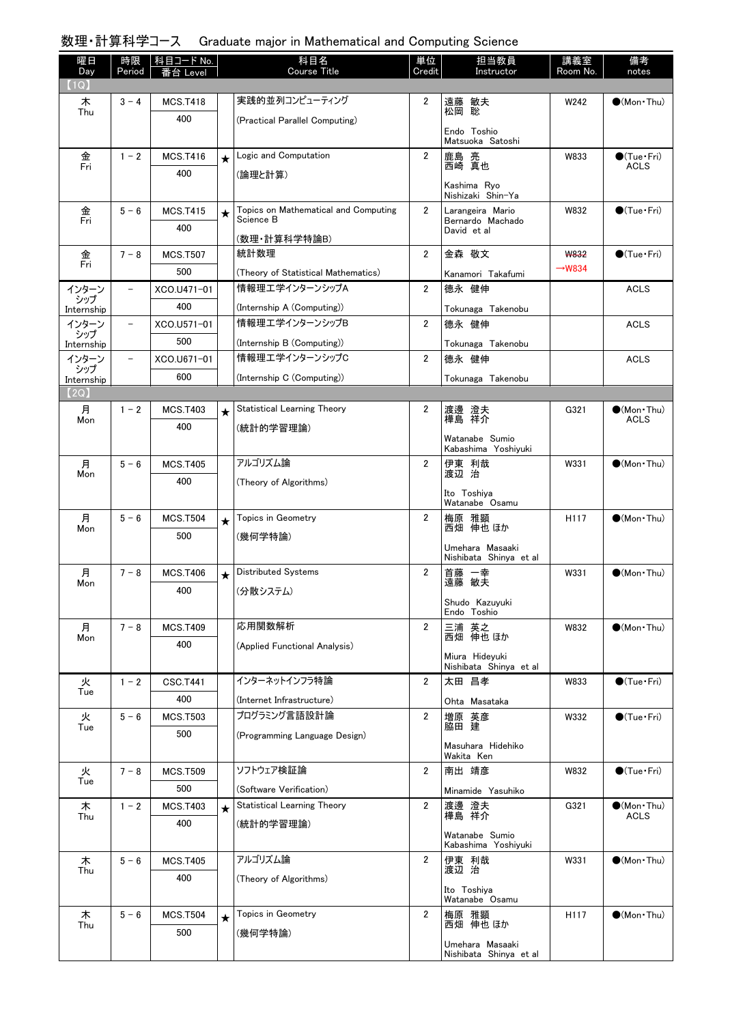# 数理・計算科学コース Graduate major in Mathematical and Computing Science

| 曜日                | 時限                       | 科目コード No.       |            | 科目名                                               | 単位             | 担当教員                                      | 講義室                | 備考                                 |
|-------------------|--------------------------|-----------------|------------|---------------------------------------------------|----------------|-------------------------------------------|--------------------|------------------------------------|
| Day<br>(1Q)       | Period                   | Level           |            | <b>Course Title</b>                               | Credit         | Instructor                                | Room No.           | notes                              |
| 木                 | $3 - 4$                  | <b>MCS.T418</b> |            | 実践的並列コンピューティング                                    | $\overline{2}$ | 遠藤 敏夫                                     | W242               | $\bullet$ (Mon Thu)                |
| Thu               |                          | 400             |            | (Practical Parallel Computing)                    |                | 聡<br>松岡                                   |                    |                                    |
|                   |                          |                 |            |                                                   |                | Endo Toshio<br>Matsuoka Satoshi           |                    |                                    |
| 金                 | $1 - 2$                  | <b>MCS.T416</b> | $\star$    | Logic and Computation                             | $\overline{2}$ | 鹿島 亮                                      | W833               | $\bigcirc$ (Tue · Fri)             |
| Fri               |                          | 400             |            | (論理と計算)                                           |                | 西崎 真也                                     |                    | <b>ACLS</b>                        |
|                   |                          |                 |            |                                                   |                | Kashima Ryo<br>Nishizaki Shin-Ya          |                    |                                    |
| 金<br>Fri          | $5 - 6$                  | <b>MCS.T415</b> | $\star$    | Topics on Mathematical and Computing<br>Science B | $\overline{2}$ | Larangeira Mario<br>Bernardo Machado      | W832               | $\bigcirc$ (Tue · Fri)             |
|                   |                          | 400             |            | (数理·計算科学特論B)                                      |                | David et al                               |                    |                                    |
| 金<br>Fri          | $7 - 8$                  | <b>MCS.T507</b> |            | 統計数理                                              | $\overline{2}$ | 金森 敬文                                     | <b>W832</b>        | $\bigcirc$ (Tue · Fri)             |
|                   |                          | 500             |            | (Theory of Statistical Mathematics)               |                | Kanamori Takafumi                         | $\rightarrow$ W834 |                                    |
| インターン<br>シップ      | $\overline{\phantom{a}}$ | XCO.U471-01     |            | 情報理エ学インターンシップA                                    | $\overline{2}$ | 德永 健伸                                     |                    | <b>ACLS</b>                        |
| Internship        |                          | 400             |            | (Internship A (Computing))                        |                | Tokunaga Takenobu                         |                    |                                    |
| インターン             | $\overline{\phantom{a}}$ | XCO.U571-01     |            | 情報理エ学インターンシップB                                    | $\overline{2}$ | 德永 健伸                                     |                    | <b>ACLS</b>                        |
| シップ<br>Internship |                          | 500             |            | (Internship B (Computing))                        |                | Tokunaga Takenobu                         |                    |                                    |
| インターン             | $\overline{\phantom{m}}$ | XCO.U671-01     |            | 情報理工学インターンシップC                                    | $\overline{2}$ | 德永 健伸                                     |                    | <b>ACLS</b>                        |
| シップ<br>Internship |                          | 600             |            | (Internship C (Computing))                        |                | Tokunaga Takenobu                         |                    |                                    |
| 【2Q)              |                          |                 |            |                                                   |                |                                           |                    |                                    |
| 月                 | $1 - 2$                  | <b>MCS.T403</b> | $\star$    | <b>Statistical Learning Theory</b>                | 2              | 渡邊 澄夫<br>樺島 祥介                            | G321               | $\bullet$ (Mon Thu)<br><b>ACLS</b> |
| Mon               |                          | 400             |            | (統計的学習理論)                                         |                |                                           |                    |                                    |
|                   |                          |                 |            |                                                   |                | Watanabe Sumio<br>Kabashima Yoshiyuki     |                    |                                    |
| 月                 | $5 - 6$                  | <b>MCS.T405</b> |            | アルゴリズム論                                           | $\overline{2}$ | 伊東 利哉                                     | W331               | $\bigcirc$ (Mon Thu)               |
| Mon               |                          | 400             |            | (Theory of Algorithms)                            |                | 渡辺 治                                      |                    |                                    |
|                   |                          |                 |            |                                                   |                | Ito Toshiya<br>Watanabe Osamu             |                    |                                    |
| 月                 | $5 - 6$                  | <b>MCS.T504</b> | $\star$    | Topics in Geometry                                | 2              | 梅原 雅顕                                     | H <sub>117</sub>   | $\bigcirc$ (Mon Thu)               |
| Mon               |                          | 500             |            | (幾何学特論)                                           |                | 西畑 伸也 ほか                                  |                    |                                    |
|                   |                          |                 |            |                                                   |                | Umehara Masaaki<br>Nishibata Shinya et al |                    |                                    |
| 月                 | $7 - 8$                  | <b>MCS.T406</b> | $\bigstar$ | <b>Distributed Systems</b>                        | 2              | 首藤<br>一幸                                  | W331               | $\bigcirc$ (Mon Thu)               |
| Mon               |                          | 400             |            | (分散システム)                                          |                | 遠藤 敏夫                                     |                    |                                    |
|                   |                          |                 |            |                                                   |                | Shudo Kazuyuki<br>Endo Toshio             |                    |                                    |
| 月                 | $7 - 8$                  | <b>MCS.T409</b> |            | 応用関数解析                                            | $\overline{2}$ | 三浦 英之<br>西畑 伸也 ほか                         | W832               | $\bigcirc$ (Mon Thu)               |
| Mon               |                          | 400             |            | (Applied Functional Analysis)                     |                |                                           |                    |                                    |
|                   |                          |                 |            |                                                   |                | Miura Hideyuki<br>Nishibata Shinya et al  |                    |                                    |
| 火                 | $1 - 2$                  | <b>CSC.T441</b> |            | インターネットインフラ特論                                     | $\overline{2}$ | 太田 昌孝                                     | W833               | $\bigcirc$ (Tue · Fri)             |
| Tue               |                          | 400             |            | (Internet Infrastructure)                         |                | Ohta Masataka                             |                    |                                    |
| 火                 | $5 - 6$                  | <b>MCS.T503</b> |            | プログラミング言語設計論                                      | $\overline{2}$ | 増原 英彦                                     | W332               | $\bigcirc$ (Tue · Fri)             |
| Tue               |                          | 500             |            | (Programming Language Design)                     |                | 脇田 建                                      |                    |                                    |
|                   |                          |                 |            |                                                   |                | Masuhara Hidehiko<br>Wakita Ken           |                    |                                    |
| 火                 | $7 - 8$                  | <b>MCS.T509</b> |            | ソフトウェア検証論                                         | 2              | 南出 靖彦                                     | W832               | $\bigcirc$ (Tue · Fri)             |
| Tue               |                          | 500             |            | (Software Verification)                           |                | Minamide Yasuhiko                         |                    |                                    |
| 木                 | $1 - 2$                  | <b>MCS.T403</b> |            | <b>Statistical Learning Theory</b>                | $\overline{2}$ | 渡邊 澄夫                                     | G321               | $\bullet$ (Mon Thu)                |
| Thu               |                          | 400             | $\star$    | (統計的学習理論)                                         |                | 樺島 祥介                                     |                    | <b>ACLS</b>                        |
|                   |                          |                 |            |                                                   |                | Watanabe Sumio<br>Kabashima Yoshiyuki     |                    |                                    |
| 木                 | $5 - 6$                  | <b>MCS.T405</b> |            | アルゴリズム論                                           | $\overline{2}$ | 伊東 利哉                                     | W331               | $\bullet$ (Mon Thu)                |
| Thu               |                          | 400             |            | (Theory of Algorithms)                            |                | 渡辺 治                                      |                    |                                    |
|                   |                          |                 |            |                                                   |                | Ito Toshiya<br>Watanabe Osamu             |                    |                                    |
| 木                 | $5 - 6$                  | <b>MCS.T504</b> | $\star$    | Topics in Geometry                                | $\overline{2}$ | 梅原 雅顕                                     | H117               | $\bullet$ (Mon Thu)                |
| Thu               |                          | 500             |            | (幾何学特論)                                           |                | 西畑 伸也 ほか                                  |                    |                                    |
|                   |                          |                 |            |                                                   |                | Umehara Masaaki<br>Nishibata Shinya et al |                    |                                    |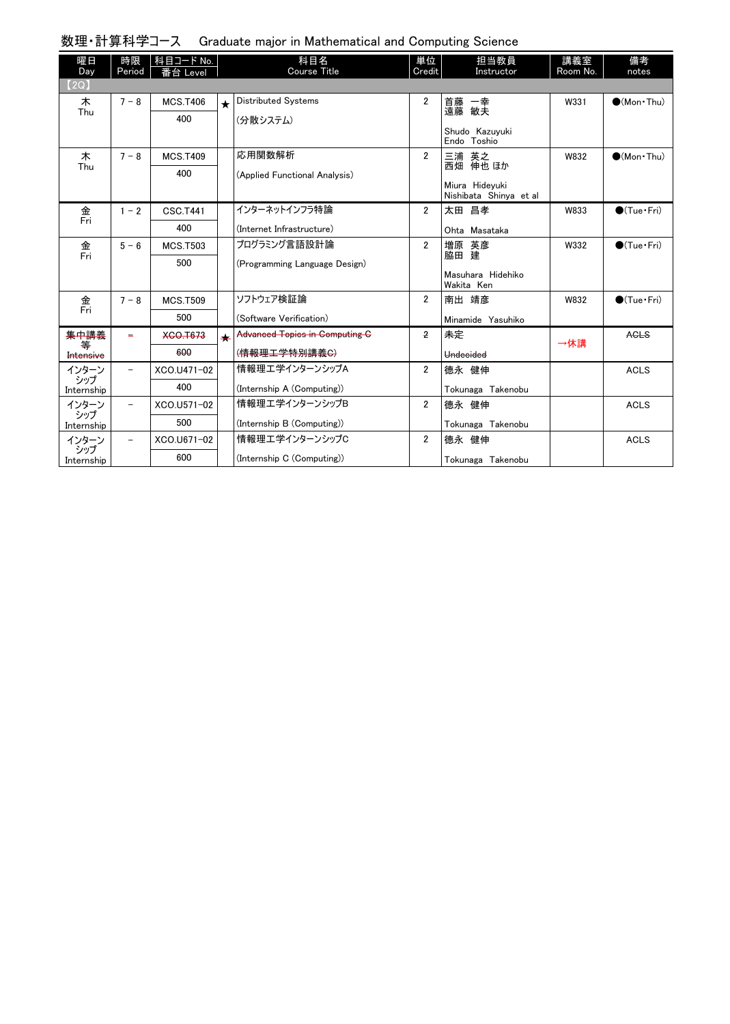| 数理・計算科学コース Graduate major in Mathematical and Computing Science |  |  |  |  |  |
|-----------------------------------------------------------------|--|--|--|--|--|
|-----------------------------------------------------------------|--|--|--|--|--|

| 曜日<br>Day         | 時限<br>Period             | 科目コード No.<br>番台 Level |         | 科目名<br>Course Title                   | 単位<br>Credit   | 担当教員<br>Instructor                       | 講義室<br>Room No. | 備考<br>notes                  |
|-------------------|--------------------------|-----------------------|---------|---------------------------------------|----------------|------------------------------------------|-----------------|------------------------------|
| (2Q)              |                          |                       |         |                                       |                |                                          |                 |                              |
| 木                 | $7 - 8$                  | <b>MCS.T406</b>       | $\star$ | <b>Distributed Systems</b>            | $\overline{2}$ | 首藤 一幸<br>遠藤 敏夫                           | W331            | $(Mon$ Thu)                  |
| Thu               |                          | 400                   |         | (分散システム)                              |                |                                          |                 |                              |
|                   |                          |                       |         |                                       |                | Shudo Kazuyuki<br>Endo Toshio            |                 |                              |
| 木                 | $7 - 8$                  | <b>MCS.T409</b>       |         | 応用関数解析                                | $\overline{2}$ | 三浦 英之                                    | W832            | $(Mon$ Thu)                  |
| Thu               |                          | 400                   |         | (Applied Functional Analysis)         |                | 西畑 伸也 ほか                                 |                 |                              |
|                   |                          |                       |         |                                       |                | Miura Hidevuki<br>Nishibata Shinya et al |                 |                              |
| 金                 | $1 - 2$                  | <b>CSC.T441</b>       |         | インターネットインフラ特論                         | $\overline{2}$ | 太田 昌孝                                    | W833            | $\bigcirc$ (Tue $\cdot$ Fri) |
| Fri               |                          | 400                   |         | (Internet Infrastructure)             |                | Ohta Masataka                            |                 |                              |
| 金<br>Fri          | $5 - 6$                  | <b>MCS.T503</b>       |         | プログラミング言語設計論                          | $\overline{2}$ | 増原 英彦                                    | W332            | $\bullet$ (Tue · Fri)        |
|                   |                          | 500                   |         | (Programming Language Design)         |                | 脇田 建                                     |                 |                              |
|                   |                          |                       |         |                                       |                | Masuhara Hidehiko<br>Wakita Ken          |                 |                              |
| 金                 | $7 - 8$                  | <b>MCS.T509</b>       |         | ソフトウェア検証論                             | $\overline{2}$ | 南出 靖彦                                    | W832            | $\bigcirc$ (Tue·Fri)         |
| Fri               |                          | 500                   |         | (Software Verification)               |                | Minamide Yasuhiko                        |                 |                              |
| 集中講義<br>等         |                          | <b>XCO.T673</b>       | ┷       | <b>Advanced Topics in Computing G</b> | 2              | 未定                                       | →休講             | <b>AGLS</b>                  |
| Intensive         |                          | 600                   |         | ( <del>情報理工学特別講義C)</del>              |                | <b>Undecided</b>                         |                 |                              |
| インターン             | $\overline{\phantom{0}}$ | XCO.U471-02           |         | 情報理エ学インターンシップA                        | $\overline{2}$ | 德永 健伸                                    |                 | <b>ACLS</b>                  |
| シップ<br>Internship |                          | 400                   |         | (Internship A (Computing))            |                | Tokunaga Takenobu                        |                 |                              |
| インターン             | $\overline{\phantom{0}}$ | XCO.U571-02           |         | 情報理エ学インターンシップB                        | $\overline{2}$ | 德永 健伸                                    |                 | <b>ACLS</b>                  |
| シップ<br>Internship |                          | 500                   |         | (Internship B (Computing))            |                | Tokunaga Takenobu                        |                 |                              |
| インターン             | $\overline{\phantom{0}}$ | XCO.U671-02           |         | 情報理エ学インターンシップC                        | $\overline{2}$ | 德永 健伸                                    |                 | <b>ACLS</b>                  |
| シップ<br>Internship |                          | 600                   |         | (Internship C (Computing))            |                | Tokunaga Takenobu                        |                 |                              |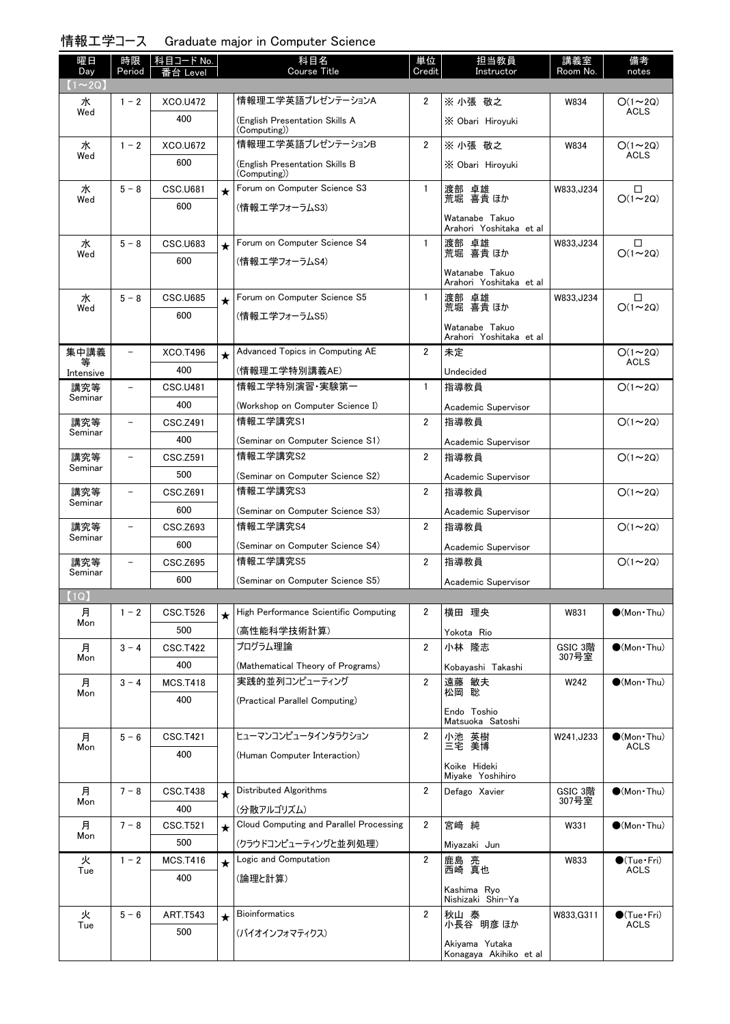## 情報工学コース Graduate major in Computer Science

| 曜日<br>Day    | 時限<br>Period             | │科目コード No.<br>番台 Level |         | 科目名<br><b>Course Title</b>                     | 単位<br>Credit   | 担当教員<br>Instructor                       | 講義室<br><u>Room No.</u> | 備考<br>notes                  |
|--------------|--------------------------|------------------------|---------|------------------------------------------------|----------------|------------------------------------------|------------------------|------------------------------|
| $(1\sim 2Q)$ |                          |                        |         |                                                |                |                                          |                        |                              |
| 水            | $1 - 2$                  | XCO.U472               |         | 情報理工学英語プレゼンテーションA                              | $\overline{2}$ | ※ 小張 敬之                                  | W834                   | $O(1\sim 2Q)$                |
| Wed          |                          | 400                    |         | (English Presentation Skills A<br>(Computing)) |                | X Obari Hirovuki                         |                        | <b>ACLS</b>                  |
| 水            | $1 - 2$                  | <b>XCO.U672</b>        |         | 情報理工学英語プレゼンテーションB                              | $\overline{2}$ | ※ 小張 敬之                                  | W834                   | $O(1\sim 2Q)$                |
| Wed          |                          | 600                    |         | (English Presentation Skills B<br>(Computing)) |                | X Obari Hiroyuki                         |                        | <b>ACLS</b>                  |
| 水            | $5 - 8$                  | <b>CSC.U681</b>        | $\star$ | Forum on Computer Science S3                   | 1              | 渡部 卓雄<br>荒堀 喜貴ほか                         | W833, J234             | □                            |
| Wed          |                          | 600                    |         | (情報エ学フォーラムS3)                                  |                | Watanabe Takuo                           |                        | $O(1\sim 20)$                |
|              |                          |                        |         |                                                |                | Arahori Yoshitaka et al                  |                        |                              |
| 水<br>Wed     | $5 - 8$                  | <b>CSC.U683</b>        | $\star$ | Forum on Computer Science S4                   | $\mathbf{1}$   | 渡部 卓雄<br>荒堀 喜貴ほか                         | W833, J234             | $\Box$<br>$O(1\sim 2Q)$      |
|              |                          | 600                    |         | (情報エ学フォーラムS4)                                  |                | Watanabe Takuo                           |                        |                              |
|              |                          |                        |         |                                                |                | Arahori Yoshitaka et al                  |                        |                              |
| 水<br>Wed     | $5 - 8$                  | <b>CSC.U685</b>        | $\star$ | Forum on Computer Science S5                   | $\mathbf{1}$   | 渡部 卓雄<br>荒堀 喜貴 ほか                        | W833, J234             | □<br>$O(1\sim 2Q)$           |
|              |                          | 600                    |         | (情報エ学フォーラムS5)                                  |                | Watanabe Takuo                           |                        |                              |
|              |                          |                        |         |                                                |                | Arahori Yoshitaka et al                  |                        |                              |
| 集中講義<br>等    | $\overline{\phantom{0}}$ | <b>XCO.T496</b>        | $\star$ | Advanced Topics in Computing AE                | $\overline{2}$ | 未定                                       |                        | $O(1\sim 2Q)$<br><b>ACLS</b> |
| Intensive    |                          | 400                    |         | (情報理工学特別講義AE)                                  |                | Undecided                                |                        |                              |
| 講究等          | $\overline{\phantom{0}}$ | <b>CSC.U481</b>        |         | 情報工学特別演習・実験第一                                  | $\mathbf{1}$   | 指導教員                                     |                        | $O(1\sim 2Q)$                |
| Seminar      |                          | 400                    |         | (Workshop on Computer Science I)               |                | Academic Supervisor                      |                        |                              |
| 講究等          | $\overline{\phantom{0}}$ | CSC.Z491               |         | 情報工学講究S1                                       | $\overline{2}$ | 指導教員                                     |                        | $O(1\sim 2Q)$                |
| Seminar      |                          | 400                    |         | (Seminar on Computer Science S1)               |                | Academic Supervisor                      |                        |                              |
| 講究等          |                          | CSC.Z591               |         | 情報工学講究S2                                       | $\overline{2}$ | 指導教員                                     |                        | $O(1\sim 2Q)$                |
| Seminar      |                          | 500                    |         | (Seminar on Computer Science S2)               |                | Academic Supervisor                      |                        |                              |
| 講究等          | $\overline{\phantom{a}}$ | CSC.Z691               |         | 情報工学講究S3                                       | $\overline{2}$ | 指導教員                                     |                        | $O(1\sim 2Q)$                |
| Seminar      |                          | 600                    |         | (Seminar on Computer Science S3)               |                | Academic Supervisor                      |                        |                              |
| 講究等          | $\overline{\phantom{a}}$ | CSC.Z693               |         | 情報工学講究S4                                       | $\overline{2}$ | 指導教員                                     |                        | $O(1\sim 2Q)$                |
| Seminar      |                          | 600                    |         | (Seminar on Computer Science S4)               |                | Academic Supervisor                      |                        |                              |
| 講究等          | $\overline{\phantom{0}}$ | <b>CSC.Z695</b>        |         | 情報工学講究S5                                       | 2              | 指導教員                                     |                        | $O(1\sim 2Q)$                |
| Seminar      |                          | 600                    |         | (Seminar on Computer Science S5)               |                | Academic Supervisor                      |                        |                              |
| [1Q]         |                          |                        |         |                                                |                |                                          |                        |                              |
| 月            | $1 - 2$                  | <b>CSC.T526</b>        | $\star$ | High Performance Scientific Computing          | 2              | 横田 理央                                    | W831                   | $\bullet$ (Mon Thu)          |
| Mon          |                          | 500                    |         | (高性能科学技術計算)                                    |                | Yokota Rio                               |                        |                              |
| 月            | $3 - 4$                  | <b>CSC.T422</b>        |         | プログラム理論                                        | $\overline{2}$ | 小林 隆志                                    | GSIC 3階                | $(Mon\cdot Thu)$             |
| Mon          |                          | 400                    |         | (Mathematical Theory of Programs)              |                | Kobayashi Takashi                        | 307号室                  |                              |
| 月            | $3 - 4$                  | <b>MCS.T418</b>        |         | 実践的並列コンピューティング                                 | 2              | 遠藤 敏夫                                    | W242                   | $\bullet$ (Mon Thu)          |
| Mon          |                          | 400                    |         | (Practical Parallel Computing)                 |                | 松岡 聡                                     |                        |                              |
|              |                          |                        |         |                                                |                | Endo Toshio<br>Matsuoka Satoshi          |                        |                              |
| 月            | $5 - 6$                  | <b>CSC.T421</b>        |         | ヒューマンコンピュータインタラクション                            | 2              | 小池 英樹                                    | W241, J233             | $\bullet$ (Mon Thu)          |
| Mon          |                          | 400                    |         | (Human Computer Interaction)                   |                | 三宅 美博                                    |                        | <b>ACLS</b>                  |
|              |                          |                        |         |                                                |                | Koike Hideki<br>Miyake Yoshihiro         |                        |                              |
| 月            | $7 - 8$                  | <b>CSC.T438</b>        | $\star$ | Distributed Algorithms                         | $\overline{2}$ | Defago Xavier                            | GSIC 3階                | $\bullet$ (Mon Thu)          |
| Mon          |                          | 400                    |         | (分散アルゴリズム)                                     |                |                                          | 307号室                  |                              |
| 月            | $7 - 8$                  | CSC.T521               | $\star$ | Cloud Computing and Parallel Processing        | $\overline{2}$ | 宮崎 純                                     | W331                   | $\bullet$ (Mon Thu)          |
| Mon          |                          | 500                    |         | (クラウドコンピューティングと並列処理)                           |                | Miyazaki Jun                             |                        |                              |
| 火            | $1 - 2$                  | <b>MCS.T416</b>        | $\star$ | Logic and Computation                          | 2              |                                          | W833                   | $\bullet$ (Tue•Fri)          |
| Tue          |                          | 400                    |         | (論理と計算)                                        |                | 鹿島 亮<br>西崎 真也                            |                        | ACLS                         |
|              |                          |                        |         |                                                |                | Kashima Ryo<br>Nishizaki Shin-Ya         |                        |                              |
| 火            | $5 - 6$                  | <b>ART.T543</b>        | $\star$ | <b>Bioinformatics</b>                          | $\overline{2}$ | 秋山 泰                                     | W833, G311             | $\bullet$ (Tue•Fri)          |
| Tue          |                          | 500                    |         | (バイオインフォマティクス)                                 |                | 小長谷 明彦 ほか                                |                        | ACLS                         |
|              |                          |                        |         |                                                |                | Akiyama Yutaka<br>Konagaya Akihiko et al |                        |                              |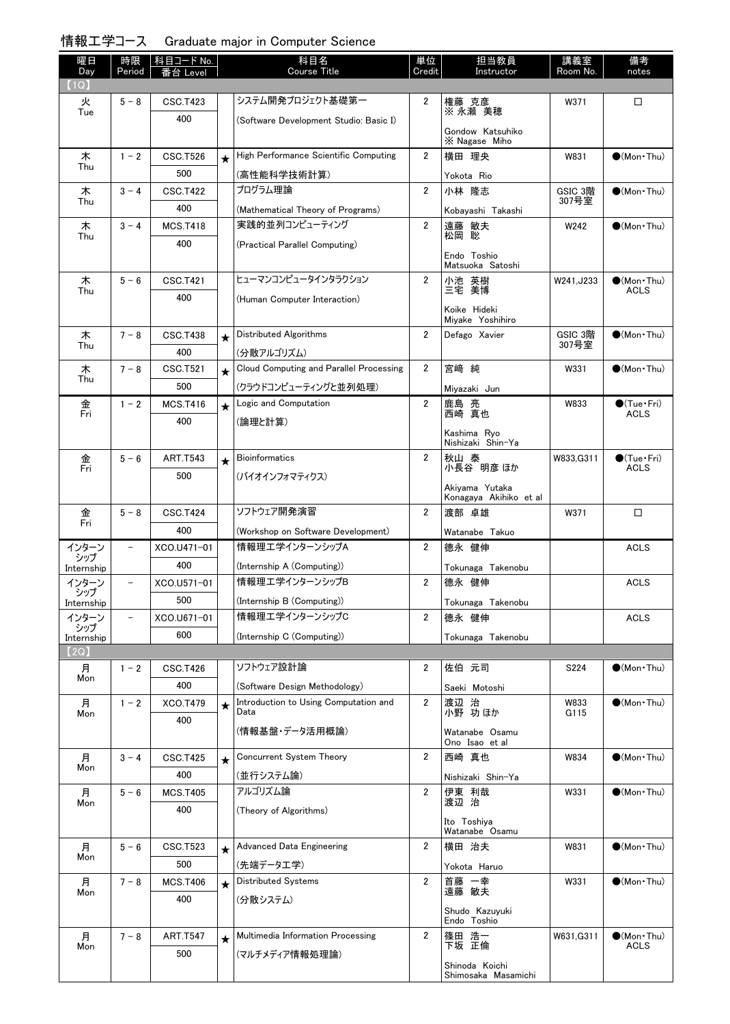| 情報工学コース Graduate major in Computer Science |  |  |  |  |
|--------------------------------------------|--|--|--|--|
|--------------------------------------------|--|--|--|--|

| 曜日<br>Day         | 時限<br>Period             | 科目コード No.<br>番台 Level |         | 科目名<br><b>Course Title</b>                    | 単位<br>Credit   | 担当教員<br>Instructor                       | 講義室<br>Room No. | 備考<br>notes                           |
|-------------------|--------------------------|-----------------------|---------|-----------------------------------------------|----------------|------------------------------------------|-----------------|---------------------------------------|
| 1Q                |                          |                       |         |                                               |                |                                          |                 |                                       |
| 火<br>Tue          | $5 - 8$                  | <b>CSC.T423</b>       |         | システム開発プロジェクト基礎第一                              | 2              | 権藤 克彦<br>※ 永瀬 美穂                         | W371            | □                                     |
|                   |                          | 400                   |         | (Software Development Studio: Basic I)        |                | Gondow Katsuhiko<br>X Nagase Miho        |                 |                                       |
| 木                 | $1 - 2$                  | <b>CSC.T526</b>       | $\star$ | High Performance Scientific Computing         | $\overline{2}$ | 横田 理央                                    | W831            | $\bigcirc$ (Mon Thu)                  |
| Thu               |                          | 500                   |         | (高性能科学技術計算)                                   |                | Yokota Rio                               |                 |                                       |
| 木                 | $3 - 4$                  | <b>CSC.T422</b>       |         | プログラム理論                                       | $\overline{2}$ | 小林 隆志                                    | GSIC 3階         | $\bigcirc$ (Mon Thu)                  |
| Thu               |                          | 400                   |         | (Mathematical Theory of Programs)             |                | Kobavashi Takashi                        | 307号室           |                                       |
| 木                 | $3 - 4$                  | <b>MCS.T418</b>       |         | 実践的並列コンピューティング                                | $\overline{2}$ | 遠藤 敏夫                                    | W242            | $\bigcirc$ (Mon Thu)                  |
| Thu               |                          | 400                   |         | (Practical Parallel Computing)                |                | 松岡 聡                                     |                 |                                       |
|                   |                          |                       |         |                                               |                | Endo Toshio                              |                 |                                       |
|                   |                          |                       |         | ヒューマンコンピュータインタラクション                           |                | Matsuoka Satoshi                         |                 |                                       |
| 木<br>Thu          | $5 - 6$                  | <b>CSC.T421</b>       |         |                                               | $\overline{2}$ | 小池 英樹<br>三宅 美博                           | W241.J233       | $\bigcirc$ (Mon·Thu)<br><b>ACLS</b>   |
|                   |                          | 400                   |         | (Human Computer Interaction)                  |                | Koike Hideki<br>Miyake Yoshihiro         |                 |                                       |
| 木                 | $7 - 8$                  | <b>CSC.T438</b>       | $\star$ | Distributed Algorithms                        | $\overline{2}$ | Defago Xavier                            | GSIC 3階         | $\bigcirc$ (Mon Thu)                  |
| Thu               |                          | 400                   |         | (分散アルゴリズム)                                    |                |                                          | 307号室           |                                       |
| 木                 | $7 - 8$                  | CSC.T521              | $\star$ | Cloud Computing and Parallel Processing       | $\overline{2}$ | 宮崎 純                                     | W331            | $\bigcirc$ (Mon Thu)                  |
| Thu               |                          | 500                   |         | (クラウドコンピューティングと並列処理)                          |                | Miyazaki Jun                             |                 |                                       |
| 金                 | $1 - 2$                  | <b>MCS.T416</b>       | $\star$ | Logic and Computation                         | $\overline{2}$ | 鹿島 亮<br>西崎 真也                            | W833            | $\bullet$ (Tue•Fri)                   |
| Fri               |                          | 400                   |         | (論理と計算)                                       |                |                                          |                 | <b>ACLS</b>                           |
|                   |                          |                       |         |                                               |                | Kashima Ryo<br>Nishizaki Shin-Ya         |                 |                                       |
| 金<br>Fri          | $5 - 6$                  | <b>ART.T543</b>       | $\star$ | <b>Bioinformatics</b>                         | $\overline{2}$ | 秋山 泰<br>小長谷 明彦 ほか                        | W833, G311      | $\bigcirc$ (Tue · Fri)<br><b>ACLS</b> |
|                   |                          | 500                   |         | (バイオインフォマティクス)                                |                |                                          |                 |                                       |
|                   |                          |                       |         |                                               |                | Akiyama Yutaka<br>Konagaya Akihiko et al |                 |                                       |
| 金                 | $5 - 8$                  | <b>CSC.T424</b>       |         | ソフトウェア開発演習                                    | $\overline{2}$ | 渡部 卓雄                                    | W371            | □                                     |
| Fri               |                          | 400                   |         | (Workshop on Software Development)            |                | Watanabe Takuo                           |                 |                                       |
| インターン             | $\overline{\phantom{0}}$ | XCO.U471-01           |         | 情報理工学インターンシップA                                | $\overline{2}$ | 德永 健伸                                    |                 | <b>ACLS</b>                           |
| シップ<br>Internship |                          | 400                   |         | (Internship A (Computing))                    |                | Tokunaga Takenobu                        |                 |                                       |
| インターン             | $\qquad \qquad -$        | XCO.U571-01           |         | 情報理エ学インターンシップB                                | $\mathbf{2}$   | 德永 健伸                                    |                 | <b>ACLS</b>                           |
| シップ<br>Internship |                          | 500                   |         | (Internship B (Computing))                    |                | Tokunaga Takenobu                        |                 |                                       |
| インターン             |                          | XCO.U671-01           |         | 情報理工学インターンシップC                                | $\overline{2}$ | 德永 健伸                                    |                 | <b>ACLS</b>                           |
| シップ<br>Internship |                          | 600                   |         | (Internship C (Computing))                    |                | Tokunaga Takenobu                        |                 |                                       |
| (2Q)              |                          |                       |         |                                               |                |                                          |                 |                                       |
| 月                 | $1 - 2$                  | CSC.T426              |         | ソフトウェア設計論                                     | 2              | 佐伯 元司                                    | S224            | $\bullet$ (Mon Thu)                   |
| Mon               |                          | 400                   |         | (Software Design Methodology)                 |                | Saeki Motoshi                            |                 |                                       |
| 月<br>Mon          | $1 - 2$                  | <b>XCO.T479</b>       | $\star$ | Introduction to Using Computation and<br>Data | $\overline{2}$ | 渡辺 治<br>小野 功ほか                           | W833<br>G115    | $\bullet$ (Mon Thu)                   |
|                   |                          | 400                   |         | (情報基盤・データ活用概論)                                |                |                                          |                 |                                       |
|                   |                          |                       |         |                                               |                | Watanabe Osamu<br>Ono Isao et al         |                 |                                       |
| 月                 | $3 - 4$                  | <b>CSC.T425</b>       | $\star$ | Concurrent System Theory                      | $\mathbf{2}$   | 西崎 真也                                    | W834            | $\bullet$ (Mon Thu)                   |
| Mon               |                          | 400                   |         | (並行システム論)                                     |                | Nishizaki Shin-Ya                        |                 |                                       |
| 月                 | $5 - 6$                  | <b>MCS.T405</b>       |         | アルゴリズム論                                       | $\overline{2}$ | 伊東 利哉<br>渡辺 治                            | W331            | $\bullet$ (Mon Thu)                   |
| Mon               |                          | 400                   |         | (Theory of Algorithms)                        |                |                                          |                 |                                       |
|                   |                          |                       |         |                                               |                | Ito Toshiya<br>Watanabe Osamu            |                 |                                       |
| 月                 | $5 - 6$                  | CSC.T523              | $\star$ | <b>Advanced Data Engineering</b>              | 2              | 横田 治夫                                    | W831            | $\bullet$ (Mon Thu)                   |
| Mon               |                          | 500                   |         | (先端データエ学)                                     |                | Yokota Haruo                             |                 |                                       |
| 月                 | $7 - 8$                  | <b>MCS.T406</b>       | $\star$ | <b>Distributed Systems</b>                    | $\overline{2}$ | 首藤 一幸<br>遠藤 敏夫                           | W331            | $\bullet$ (Mon Thu)                   |
| Mon               |                          | 400                   |         | (分散システム)                                      |                |                                          |                 |                                       |
|                   |                          |                       |         |                                               |                | Shudo Kazuyuki<br>Endo Toshio            |                 |                                       |
| 月                 | $7 - 8$                  | <b>ART.T547</b>       | $\star$ | Multimedia Information Processing             | $\overline{2}$ | 篠田 浩一                                    | W631, G311      | $\bullet$ (Mon · Thu)                 |
| Mon               |                          | 500                   |         | (マルチメディア情報処理論)                                |                | 下坂 正倫                                    |                 | ACLS                                  |
|                   |                          |                       |         |                                               |                | Shinoda Koichi<br>Shimosaka Masamichi    |                 |                                       |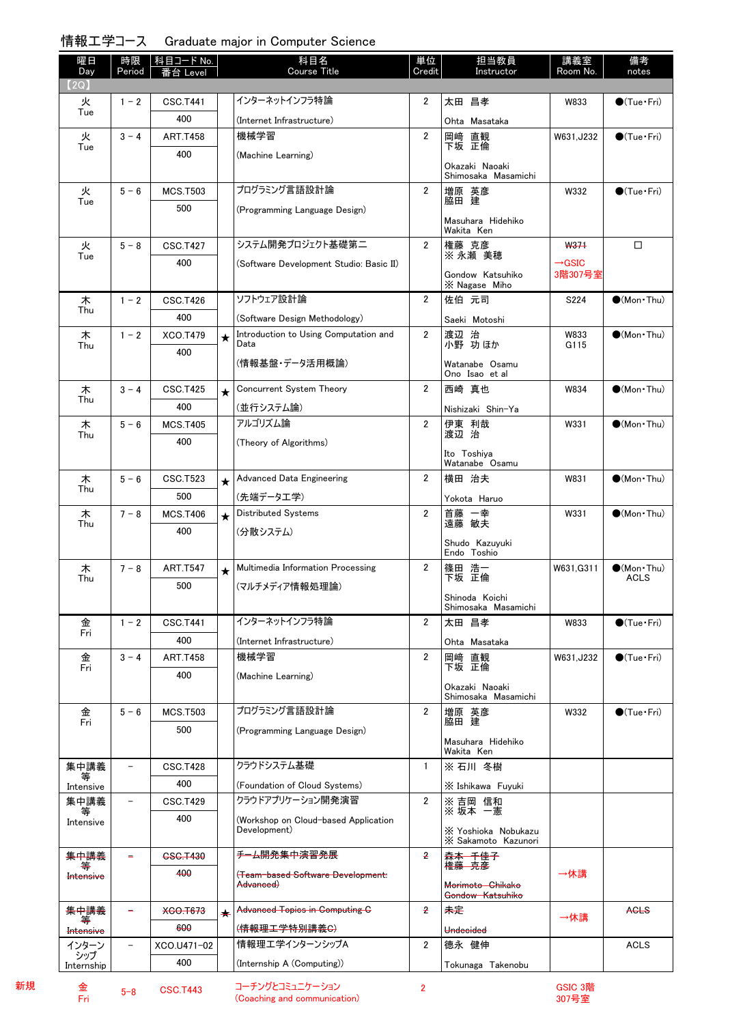## 情報工学コース Graduate major in Computer Science

| 曜日                        | 時限                       | 科目コード No.       |         | 科目名                                                  | 単位             | 担当教員                                       | 講義室                        | 備考                                  |
|---------------------------|--------------------------|-----------------|---------|------------------------------------------------------|----------------|--------------------------------------------|----------------------------|-------------------------------------|
| Day<br>(2Q)               | Period                   | _evel           |         | Course Title                                         | Credit         | Instructor                                 | Room No.                   | notes                               |
| 火                         | $1 - 2$                  | <b>CSC.T441</b> |         | インターネットインフラ特論                                        | $\overline{2}$ | 太田 昌孝                                      | W833                       | $\bigcirc$ (Tue · Fri)              |
| Tue                       |                          | 400             |         | (Internet Infrastructure)                            |                |                                            |                            |                                     |
| 火                         | $3 - 4$                  | <b>ART.T458</b> |         | 機械学習                                                 | $\overline{2}$ | Ohta Masataka<br>岡﨑<br>直観                  | W631, J232                 | $\bigcirc$ (Tue · Fri)              |
| Tue                       |                          | 400             |         | (Machine Learning)                                   |                | 下坂 正倫                                      |                            |                                     |
|                           |                          |                 |         |                                                      |                | Okazaki Naoaki                             |                            |                                     |
| 火                         | $5 - 6$                  | <b>MCS.T503</b> |         | プログラミング言語設計論                                         | $\overline{2}$ | Shimosaka Masamichi                        | W332                       | $\bigcirc$ (Tue · Fri)              |
| Tue                       |                          | 500             |         | (Programming Language Design)                        |                | 増原 英彦<br>脇田 建                              |                            |                                     |
|                           |                          |                 |         |                                                      |                | Masuhara Hidehiko                          |                            |                                     |
| 火                         | $5 - 8$                  | <b>CSC.T427</b> |         | システム開発プロジェクト基礎第二                                     | $\overline{2}$ | Wakita Ken                                 |                            | □                                   |
| Tue                       |                          | 400             |         |                                                      |                | 権藤 克彦<br>※ 永瀬 美穂                           | W371<br>$\rightarrow$ GSIC |                                     |
|                           |                          |                 |         | (Software Development Studio: Basic II)              |                | Gondow Katsuhiko                           | 3階307号室                    |                                     |
|                           |                          |                 |         |                                                      |                | X Nagase Miho                              |                            |                                     |
| 木<br>Thu                  | $1 - 2$                  | <b>CSC.T426</b> |         | ソフトウェア設計論                                            | $\overline{2}$ | 佐伯 元司                                      | S224                       | $\bullet$ (Mon Thu)                 |
|                           |                          | 400             |         | (Software Design Methodology)                        |                | Saeki Motoshi                              |                            |                                     |
| 木<br>Thu                  | $1 - 2$                  | <b>XCO.T479</b> | $\star$ | Introduction to Using Computation and<br>Data        | $\overline{2}$ | 渡辺 治<br>小野 功ほか                             | W833<br>G115               | $\bullet$ (Mon Thu)                 |
|                           |                          | 400             |         | (情報基盤・データ活用概論)                                       |                | Watanabe Osamu                             |                            |                                     |
|                           |                          |                 |         |                                                      |                | Ono Isao et al                             |                            |                                     |
| 木<br>Thu                  | $3 - 4$                  | <b>CSC.T425</b> | $\star$ | Concurrent System Theory                             | $\overline{2}$ | 西崎 真也                                      | W834                       | $\bigcirc$ (Mon Thu)                |
|                           |                          | 400             |         | (並行システム論)                                            |                | Nishizaki Shin-Ya                          |                            |                                     |
| 木<br>Thu                  | $5 - 6$                  | <b>MCS.T405</b> |         | アルゴリズム論                                              | $\overline{2}$ | 伊東 利哉<br>渡辺 治                              | W331                       | $\bullet$ (Mon Thu)                 |
|                           |                          | 400             |         | (Theory of Algorithms)                               |                | Ito Toshiya                                |                            |                                     |
|                           |                          |                 |         |                                                      |                | Watanabe Osamu                             |                            |                                     |
| 木<br>Thu                  | $5 - 6$                  | <b>CSC.T523</b> | $\star$ | <b>Advanced Data Engineering</b>                     | $\overline{2}$ | 横田 治夫                                      | W831                       | $\bullet$ (Mon Thu)                 |
|                           |                          | 500             |         | (先端データエ学)                                            |                | Yokota Haruo                               |                            |                                     |
| 木<br>Thu                  | $7 - 8$                  | <b>MCS.T406</b> | $\star$ | Distributed Systems                                  | $\overline{2}$ | 首藤 一幸<br>遠藤 敏夫                             | W331                       | $\bullet$ (Mon Thu)                 |
|                           |                          | 400             |         | (分散システム)                                             |                | Shudo Kazuyuki                             |                            |                                     |
|                           |                          |                 |         |                                                      |                | Endo Toshio                                |                            |                                     |
| 木<br>Thu                  | $7 - 8$                  | <b>ART.T547</b> | $\star$ | Multimedia Information Processing                    | $\overline{2}$ | 篠田 浩一<br>下坂 正倫                             | W631.G311                  | $\bigcirc$ (Mon·Thu)<br><b>ACLS</b> |
|                           |                          | 500             |         | (マルチメディア情報処理論)                                       |                | Shinoda Koichi                             |                            |                                     |
|                           |                          |                 |         |                                                      |                | Shimosaka Masamichi                        |                            |                                     |
| 金<br>Fri                  | $1 - 2$                  | <b>CSC.T441</b> |         | インターネットインフラ特論                                        | $\overline{2}$ | 太田 昌孝                                      | W833                       | $\bigcirc$ (Tue · Fri)              |
|                           |                          | 400             |         | (Internet Infrastructure)                            |                | Ohta Masataka                              |                            |                                     |
| 金<br>Fri                  | $3 - 4$                  | <b>ART.T458</b> |         | 機械学習                                                 | $\overline{2}$ | 岡崎 直観<br>下坂 正倫                             | W631, J232                 | $\bigcirc$ (Tue · Fri)              |
|                           |                          | 400             |         | (Machine Learning)                                   |                | Okazaki Naoaki                             |                            |                                     |
|                           |                          |                 |         |                                                      |                | Shimosaka Masamichi                        |                            |                                     |
| 金<br>Fri                  | $5 - 6$                  | <b>MCS.T503</b> |         | プログラミング言語設計論                                         | $\overline{2}$ | 増原 英彦<br>脇田 建                              | W332                       | $\bigcirc$ (Tue · Fri)              |
|                           |                          | 500             |         | (Programming Language Design)                        |                | Masuhara Hidehiko                          |                            |                                     |
|                           |                          |                 |         |                                                      |                | Wakita Ken                                 |                            |                                     |
| 集中講義<br>₩                 | $\overline{\phantom{a}}$ | <b>CSC.T428</b> |         | クラウドシステム基礎                                           | $\mathbf{1}$   | ※石川 冬樹                                     |                            |                                     |
| Intensive                 |                          | 400             |         | (Foundation of Cloud Systems)                        |                | X Ishikawa Fuyuki                          |                            |                                     |
| 集中講義                      | $\qquad \qquad -$        | <b>CSC.T429</b> |         | クラウドアプリケーション開発演習                                     | $\overline{2}$ | ※ 吉岡 信和<br>※坂本 一憲                          |                            |                                     |
| Intensive                 |                          | 400             |         | (Workshop on Cloud-based Application<br>Development) |                |                                            |                            |                                     |
|                           |                          |                 |         |                                                      |                | X Yoshioka Nobukazu<br>X Sakamoto Kazunori |                            |                                     |
| 集中講義                      |                          | 6S6.T430        |         | <del>チーム開発集中演習発展</del>                               | 2              | <del>森本 千佳子</del><br><del>権藤 克彦</del>      |                            |                                     |
| Intensive                 |                          | 400             |         | (Team-based Software Development:                    |                |                                            | →休講                        |                                     |
|                           |                          |                 |         | <del>Advanced)</del>                                 |                | Morimoto Chikako<br>Gondow Katsuhiko       |                            |                                     |
| 集中講義                      |                          | XCO.T673        |         | Advanced Topics in Computing C                       | $\overline{2}$ | 未定                                         | →休講                        | <b>AGLS</b>                         |
| ∓<br><del>Intensive</del> |                          | 600             |         | ( <del>情報理工学特別講義C)</del>                             |                | Undecided                                  |                            |                                     |
| インターン<br>シップ              | $\overline{\phantom{a}}$ | XCO.U471-02     |         | 情報理工学インターンシップA                                       | $\mathbf{2}$   | 德永 健伸                                      |                            | <b>ACLS</b>                         |
| Internship                |                          | 400             |         | (Internship A (Computing))                           |                | Tokunaga Takenobu                          |                            |                                     |

金<br>Fri